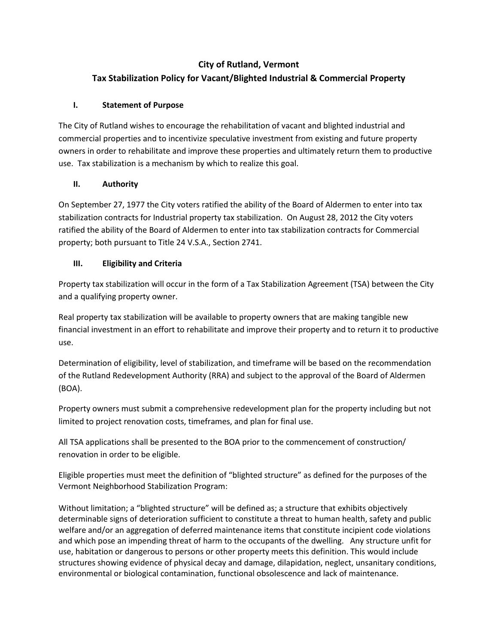## **City of Rutland, Vermont**

# **Tax Stabilization Policy for Vacant/Blighted Industrial & Commercial Property**

### **I. Statement of Purpose**

The City of Rutland wishes to encourage the rehabilitation of vacant and blighted industrial and commercial properties and to incentivize speculative investment from existing and future property owners in order to rehabilitate and improve these properties and ultimately return them to productive use. Tax stabilization is a mechanism by which to realize this goal.

### **II. Authority**

On September 27, 1977 the City voters ratified the ability of the Board of Aldermen to enter into tax stabilization contracts for Industrial property tax stabilization. On August 28, 2012 the City voters ratified the ability of the Board of Aldermen to enter into tax stabilization contracts for Commercial property; both pursuant to Title 24 V.S.A., Section 2741.

### **III. Eligibility and Criteria**

Property tax stabilization will occur in the form of a Tax Stabilization Agreement (TSA) between the City and a qualifying property owner.

Real property tax stabilization will be available to property owners that are making tangible new financial investment in an effort to rehabilitate and improve their property and to return it to productive use.

Determination of eligibility, level of stabilization, and timeframe will be based on the recommendation of the Rutland Redevelopment Authority (RRA) and subject to the approval of the Board of Aldermen (BOA).

Property owners must submit a comprehensive redevelopment plan for the property including but not limited to project renovation costs, timeframes, and plan for final use.

All TSA applications shall be presented to the BOA prior to the commencement of construction/ renovation in order to be eligible.

Eligible properties must meet the definition of "blighted structure" as defined for the purposes of the Vermont Neighborhood Stabilization Program:

Without limitation; a "blighted structure" will be defined as; a structure that exhibits objectively determinable signs of deterioration sufficient to constitute a threat to human health, safety and public welfare and/or an aggregation of deferred maintenance items that constitute incipient code violations and which pose an impending threat of harm to the occupants of the dwelling. Any structure unfit for use, habitation or dangerous to persons or other property meets this definition. This would include structures showing evidence of physical decay and damage, dilapidation, neglect, unsanitary conditions, environmental or biological contamination, functional obsolescence and lack of maintenance.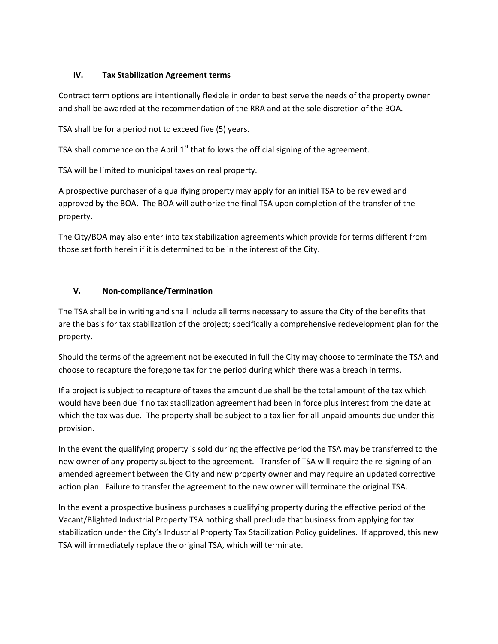#### **IV. Tax Stabilization Agreement terms**

Contract term options are intentionally flexible in order to best serve the needs of the property owner and shall be awarded at the recommendation of the RRA and at the sole discretion of the BOA.

TSA shall be for a period not to exceed five (5) years.

TSA shall commence on the April  $1<sup>st</sup>$  that follows the official signing of the agreement.

TSA will be limited to municipal taxes on real property.

A prospective purchaser of a qualifying property may apply for an initial TSA to be reviewed and approved by the BOA. The BOA will authorize the final TSA upon completion of the transfer of the property.

The City/BOA may also enter into tax stabilization agreements which provide for terms different from those set forth herein if it is determined to be in the interest of the City.

#### **V. Non-compliance/Termination**

The TSA shall be in writing and shall include all terms necessary to assure the City of the benefits that are the basis for tax stabilization of the project; specifically a comprehensive redevelopment plan for the property.

Should the terms of the agreement not be executed in full the City may choose to terminate the TSA and choose to recapture the foregone tax for the period during which there was a breach in terms.

If a project is subject to recapture of taxes the amount due shall be the total amount of the tax which would have been due if no tax stabilization agreement had been in force plus interest from the date at which the tax was due. The property shall be subject to a tax lien for all unpaid amounts due under this provision.

In the event the qualifying property is sold during the effective period the TSA may be transferred to the new owner of any property subject to the agreement. Transfer of TSA will require the re-signing of an amended agreement between the City and new property owner and may require an updated corrective action plan. Failure to transfer the agreement to the new owner will terminate the original TSA.

In the event a prospective business purchases a qualifying property during the effective period of the Vacant/Blighted Industrial Property TSA nothing shall preclude that business from applying for tax stabilization under the City's Industrial Property Tax Stabilization Policy guidelines. If approved, this new TSA will immediately replace the original TSA, which will terminate.